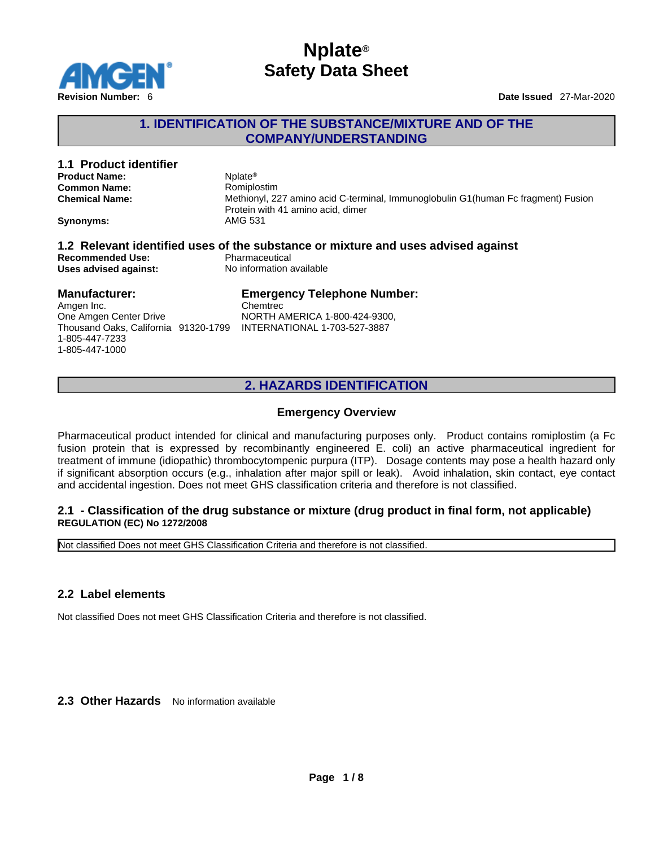

## **1. IDENTIFICATION OF THE SUBSTANCE/MIXTURE AND OF THE COMPANY/UNDERSTANDING**

| 1.1 Product identifier                           |                                                                                                                                 |
|--------------------------------------------------|---------------------------------------------------------------------------------------------------------------------------------|
| <b>Product Name:</b>                             | Nolate <sup>®</sup>                                                                                                             |
| <b>Common Name:</b>                              | Romiplostim                                                                                                                     |
| <b>Chemical Name:</b>                            | Methionyl, 227 amino acid C-terminal, Immunoglobulin G1(human Fc fragment) Fusion                                               |
|                                                  | Protein with 41 amino acid, dimer                                                                                               |
| <b>Synonyms:</b>                                 | AMG 531                                                                                                                         |
|                                                  |                                                                                                                                 |
| <b>Recommended Use:</b><br>Uses advised against: | 1.2 Relevant identified uses of the substance or mixture and uses advised against<br>Pharmaceutical<br>No information available |
| <b>Manufacturer:</b>                             | <b>Emergency Telephone Number:</b>                                                                                              |
| Amgen Inc.                                       | Chemtrec                                                                                                                        |

Thousand Oaks, California 91320-1799 INTERNATIONAL 1-703-527-3887 1-805-447-7233 1-805-447-1000

## **2. HAZARDS IDENTIFICATION**

## **Emergency Overview**

Pharmaceutical product intended for clinical and manufacturing purposes only. Product contains romiplostim (a Fc fusion protein that is expressed by recombinantly engineered E. coli) an active pharmaceutical ingredient for treatment of immune (idiopathic) thrombocytompenic purpura (ITP). Dosage contents may pose a health hazard only if significant absorption occurs (e.g., inhalation after major spill or leak). Avoid inhalation, skin contact, eye contact and accidental ingestion. Does not meet GHS classification criteria and therefore is not classified.

#### **2.1 - Classification of the drug substance or mixture (drug product in final form, not applicable) REGULATION (EC) No 1272/2008**

Not classified Does not meet GHS Classification Criteria and therefore is not classified.

## **2.2 Label elements**

Not classified Does not meet GHS Classification Criteria and therefore is not classified.

**2.3 Other Hazards** No information available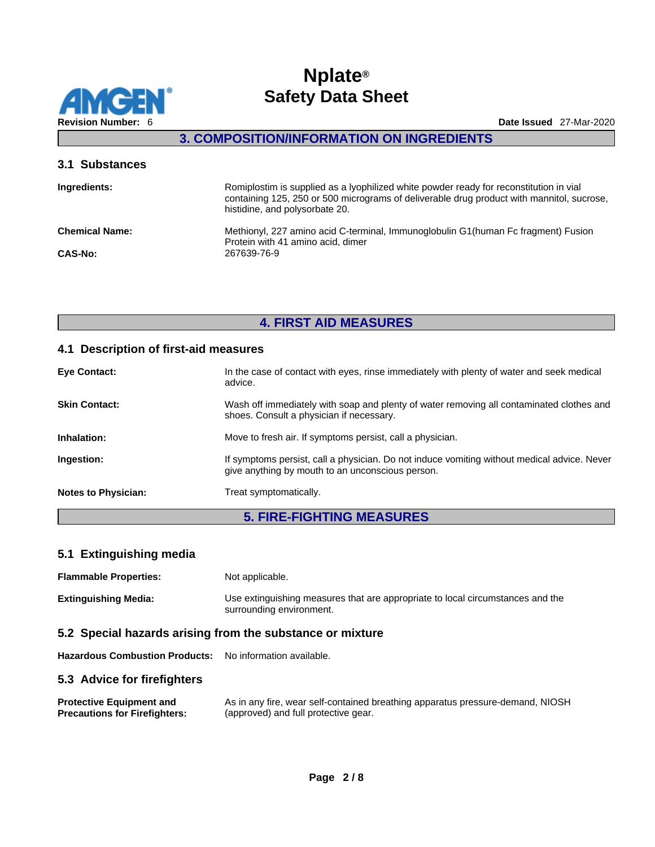

## **3. COMPOSITION/INFORMATION ON INGREDIENTS**

| 3.1 Substances        |                                                                                                                                                                                                                       |
|-----------------------|-----------------------------------------------------------------------------------------------------------------------------------------------------------------------------------------------------------------------|
| Ingredients:          | Romiplostim is supplied as a lyophilized white powder ready for reconstitution in vial<br>containing 125, 250 or 500 micrograms of deliverable drug product with mannitol, sucrose,<br>histidine, and polysorbate 20. |
| <b>Chemical Name:</b> | Methionyl, 227 amino acid C-terminal, Immunoglobulin G1(human Fc fragment) Fusion<br>Protein with 41 amino acid, dimer                                                                                                |
| <b>CAS-No:</b>        | 267639-76-9                                                                                                                                                                                                           |

## **4. FIRST AID MEASURES**

### **4.1 Description of first-aid measures**

| <b>Eye Contact:</b>        | In the case of contact with eyes, rinse immediately with plenty of water and seek medical<br>advice.                                            |
|----------------------------|-------------------------------------------------------------------------------------------------------------------------------------------------|
| <b>Skin Contact:</b>       | Wash off immediately with soap and plenty of water removing all contaminated clothes and<br>shoes. Consult a physician if necessary.            |
| Inhalation:                | Move to fresh air. If symptoms persist, call a physician.                                                                                       |
| Ingestion:                 | If symptoms persist, call a physician. Do not induce vomiting without medical advice. Never<br>give anything by mouth to an unconscious person. |
| <b>Notes to Physician:</b> | Treat symptomatically.                                                                                                                          |

## **5. FIRE-FIGHTING MEASURES**

## **5.1 Extinguishing media**

**Flammable Properties:** Not applicable.

**Extinguishing Media:** Use extinguishing measures that are appropriate to local circumstances and the surrounding environment.

## **5.2 Special hazards arising from the substance or mixture**

**Hazardous Combustion Products:** No information available.

## **5.3 Advice for firefighters**

| <b>Protective Equipment and</b>      | As in any fire, wear self-contained breathing apparatus pressure-demand, NIOSH |
|--------------------------------------|--------------------------------------------------------------------------------|
| <b>Precautions for Firefighters:</b> | (approved) and full protective gear.                                           |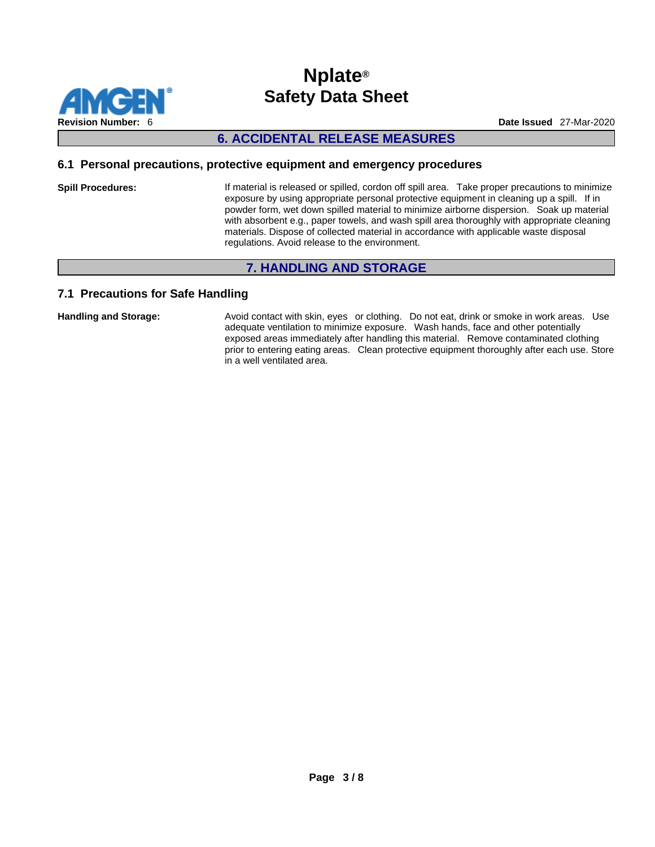

## **6. ACCIDENTAL RELEASE MEASURES**

#### **6.1 Personal precautions, protective equipment and emergency procedures**

**Spill Procedures:** If material is released or spilled, cordon off spill area. Take proper precautions to minimize exposure by using appropriate personal protective equipment in cleaning up a spill. If in powder form, wet down spilled material to minimize airborne dispersion. Soak up material with absorbent e.g., paper towels, and wash spill area thoroughly with appropriate cleaning materials. Dispose of collected material in accordance with applicable waste disposal regulations. Avoid release to the environment.

## **7. HANDLING AND STORAGE**

## **7.1 Precautions for Safe Handling**

Handling and Storage: **Avoid contact with skin, eyes** or clothing. Do not eat, drink or smoke in work areas. Use adequate ventilation to minimize exposure. Wash hands, face and other potentially exposed areas immediately after handling this material. Remove contaminated clothing prior to entering eating areas. Clean protective equipment thoroughly after each use. Store in a well ventilated area.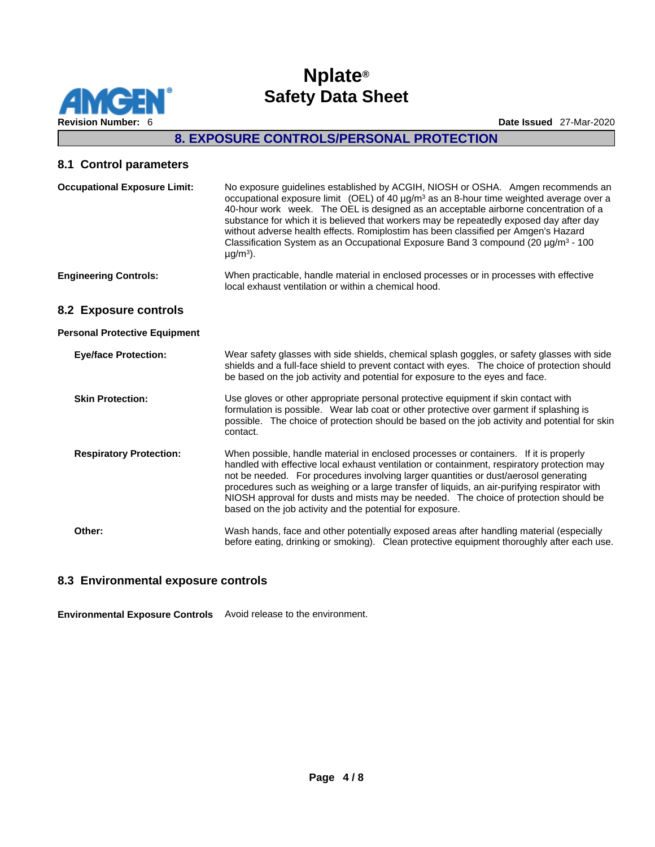

**Revision Number:** 6 **Date Issued** 27-Mar-2020

## **8. EXPOSURE CONTROLS/PERSONAL PROTECTION**

#### **8.1 Control parameters**

| No exposure guidelines established by ACGIH, NIOSH or OSHA. Amgen recommends an<br>occupational exposure limit (OEL) of 40 $\mu$ g/m <sup>3</sup> as an 8-hour time weighted average over a<br>40-hour work week. The OEL is designed as an acceptable airborne concentration of a<br>substance for which it is believed that workers may be repeatedly exposed day after day<br>without adverse health effects. Romiplostim has been classified per Amgen's Hazard<br>Classification System as an Occupational Exposure Band 3 compound (20 $\mu$ g/m <sup>3</sup> - 100<br>$\mu$ g/m <sup>3</sup> ). |
|--------------------------------------------------------------------------------------------------------------------------------------------------------------------------------------------------------------------------------------------------------------------------------------------------------------------------------------------------------------------------------------------------------------------------------------------------------------------------------------------------------------------------------------------------------------------------------------------------------|
| When practicable, handle material in enclosed processes or in processes with effective<br>local exhaust ventilation or within a chemical hood.                                                                                                                                                                                                                                                                                                                                                                                                                                                         |
|                                                                                                                                                                                                                                                                                                                                                                                                                                                                                                                                                                                                        |
|                                                                                                                                                                                                                                                                                                                                                                                                                                                                                                                                                                                                        |
| Wear safety glasses with side shields, chemical splash goggles, or safety glasses with side<br>shields and a full-face shield to prevent contact with eyes. The choice of protection should<br>be based on the job activity and potential for exposure to the eyes and face.                                                                                                                                                                                                                                                                                                                           |
| Use gloves or other appropriate personal protective equipment if skin contact with<br>formulation is possible. Wear lab coat or other protective over garment if splashing is<br>possible. The choice of protection should be based on the job activity and potential for skin<br>contact.                                                                                                                                                                                                                                                                                                             |
| When possible, handle material in enclosed processes or containers. If it is properly<br>handled with effective local exhaust ventilation or containment, respiratory protection may<br>not be needed. For procedures involving larger quantities or dust/aerosol generating<br>procedures such as weighing or a large transfer of liquids, an air-purifying respirator with<br>NIOSH approval for dusts and mists may be needed. The choice of protection should be                                                                                                                                   |
|                                                                                                                                                                                                                                                                                                                                                                                                                                                                                                                                                                                                        |

**Other:** Wash hands, face and other potentially exposed areas after handling material (especially before eating, drinking or smoking). Clean protective equipment thoroughly after each use.

## **8.3 Environmental exposure controls**

**Environmental Exposure Controls** Avoid release to the environment.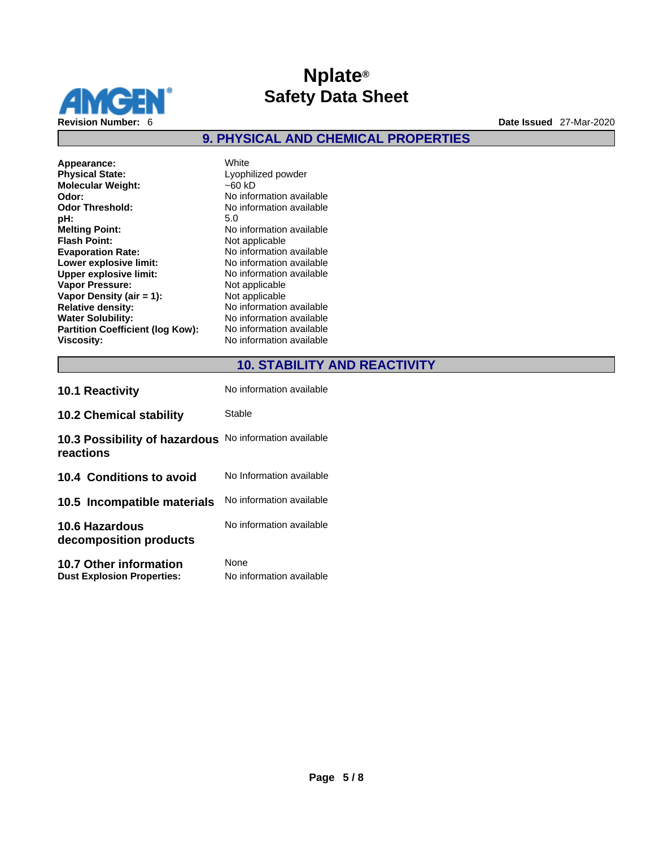

## **9. PHYSICAL AND CHEMICAL PROPERTIES**

| Appearance:                             | White                    |
|-----------------------------------------|--------------------------|
| <b>Physical State:</b>                  | Lyophilized powder       |
| <b>Molecular Weight:</b>                | $-60$ kD                 |
| Odor:                                   | No information available |
| <b>Odor Threshold:</b>                  | No information available |
| pH:                                     | 5.0                      |
| <b>Melting Point:</b>                   | No information available |
| <b>Flash Point:</b>                     | Not applicable           |
| <b>Evaporation Rate:</b>                | No information available |
| Lower explosive limit:                  | No information available |
| <b>Upper explosive limit:</b>           | No information available |
| <b>Vapor Pressure:</b>                  | Not applicable           |
| Vapor Density (air $= 1$ ):             | Not applicable           |
| <b>Relative density:</b>                | No information available |
| <b>Water Solubility:</b>                | No information available |
| <b>Partition Coefficient (log Kow):</b> | No information available |
| <b>Viscosity:</b>                       | No information available |

## **10. STABILITY AND REACTIVITY**

| <b>10.1 Reactivity</b>                                             | No information available         |
|--------------------------------------------------------------------|----------------------------------|
| <b>10.2 Chemical stability</b>                                     | Stable                           |
| 10.3 Possibility of hazardous<br>reactions                         | No information available         |
| 10.4 Conditions to avoid                                           | No Information available         |
| 10.5 Incompatible materials                                        | No information available         |
| <b>10.6 Hazardous</b><br>decomposition products                    | No information available         |
| <b>10.7 Other information</b><br><b>Dust Explosion Properties:</b> | None<br>No information available |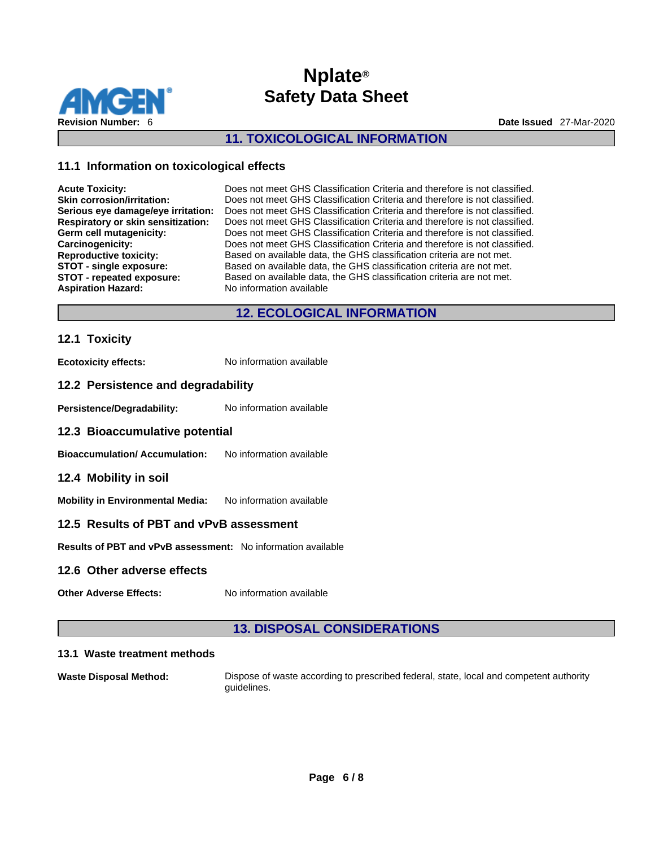

## **11. TOXICOLOGICAL INFORMATION**

## **11.1 Information on toxicological effects**

| <b>Acute Toxicity:</b>             | Does not meet GHS Classification Criteria and therefore is not classified. |
|------------------------------------|----------------------------------------------------------------------------|
| <b>Skin corrosion/irritation:</b>  | Does not meet GHS Classification Criteria and therefore is not classified. |
| Serious eye damage/eye irritation: | Does not meet GHS Classification Criteria and therefore is not classified. |
| Respiratory or skin sensitization: | Does not meet GHS Classification Criteria and therefore is not classified. |
| Germ cell mutagenicity:            | Does not meet GHS Classification Criteria and therefore is not classified. |
| Carcinogenicity:                   | Does not meet GHS Classification Criteria and therefore is not classified. |
| <b>Reproductive toxicity:</b>      | Based on available data, the GHS classification criteria are not met.      |
| STOT - single exposure:            | Based on available data, the GHS classification criteria are not met.      |
| STOT - repeated exposure:          | Based on available data, the GHS classification criteria are not met.      |
| <b>Aspiration Hazard:</b>          | No information available                                                   |

## **12. ECOLOGICAL INFORMATION**

#### **12.1 Toxicity**

**Ecotoxicity effects:** No information available

#### **12.2 Persistence and degradability**

Persistence/Degradability: No information available

#### **12.3 Bioaccumulative potential**

**Bioaccumulation/ Accumulation:** No information available

#### **12.4 Mobility in soil**

**Mobility in Environmental Media:** No information available

## **12.5 Results of PBT and vPvB assessment**

**Results of PBT and vPvB assessment:** No information available

#### **12.6 Other adverse effects**

**Other Adverse Effects:** No information available

## **13. DISPOSAL CONSIDERATIONS**

#### **13.1 Waste treatment methods**

**Waste Disposal Method:** Dispose of waste according to prescribed federal, state, local and competent authority guidelines.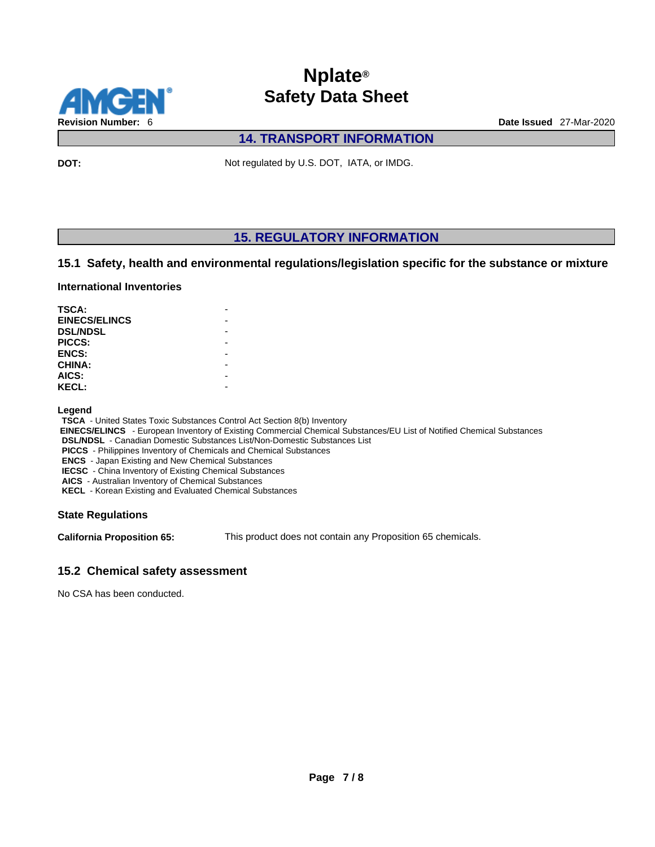

**14. TRANSPORT INFORMATION** 

**DOT:** Not regulated by U.S. DOT, IATA, or IMDG.

## **15. REGULATORY INFORMATION**

## **15.1 Safety, health and environmental regulations/legislation specific for the substance or mixture**

#### **International Inventories**

| TSCA:                |  |
|----------------------|--|
| <b>EINECS/ELINCS</b> |  |
| <b>DSL/NDSL</b>      |  |
| PICCS:               |  |
| <b>ENCS:</b>         |  |
| <b>CHINA:</b>        |  |
| AICS:                |  |
| <b>KECL:</b>         |  |

**Legend** 

**TSCA** - United States Toxic Substances Control Act Section 8(b) Inventory

 **EINECS/ELINCS** - European Inventory of Existing Commercial Chemical Substances/EU List of Notified Chemical Substances

**DSL/NDSL** - Canadian Domestic Substances List/Non-Domestic Substances List

**PICCS** - Philippines Inventory of Chemicals and Chemical Substances

**ENCS** - Japan Existing and New Chemical Substances

**IECSC** - China Inventory of Existing Chemical Substances

**AICS** - Australian Inventory of Chemical Substances **KECL** - Korean Existing and Evaluated Chemical Substances

#### **State Regulations**

**California Proposition 65:** This product does not contain any Proposition 65 chemicals.

## **15.2 Chemical safety assessment**

No CSA has been conducted.